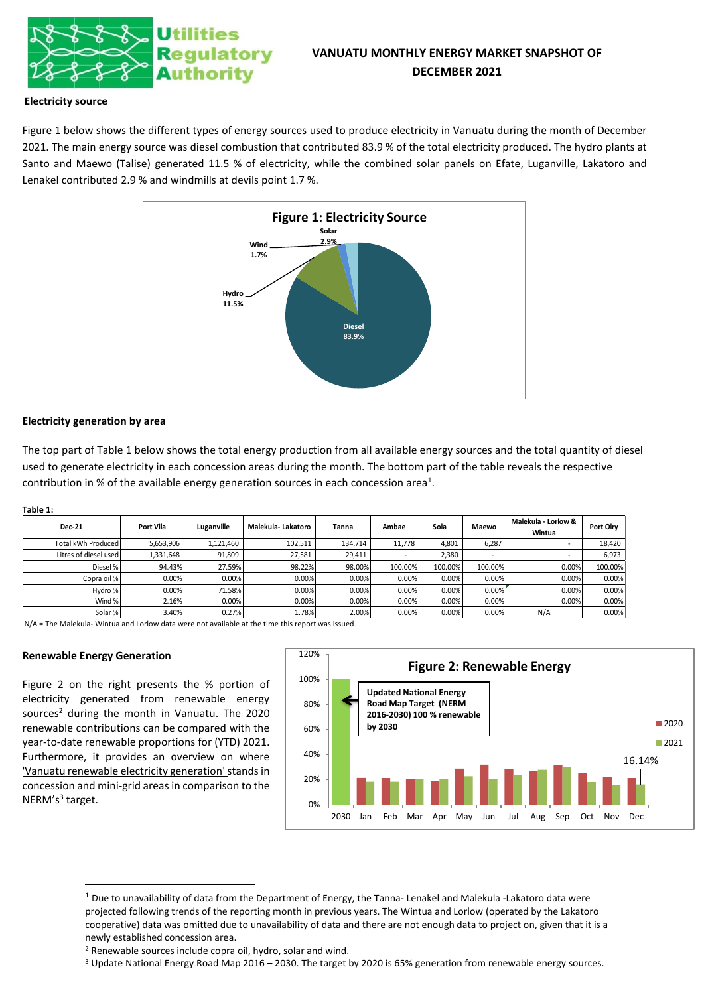

# **VANUATU MONTHLY ENERGY MARKET SNAPSHOT OF DECEMBER 2021**

# **Electricity source**

Figure 1 below shows the different types of energy sources used to produce electricity in Vanuatu during the month of December 2021. The main energy source was diesel combustion that contributed 83.9 % of the total electricity produced. The hydro plants at Santo and Maewo (Talise) generated 11.5 % of electricity, while the combined solar panels on Efate, Luganville, Lakatoro and Lenakel contributed 2.9 % and windmills at devils point 1.7 %.



#### **Electricity generation by area**

The top part of Table 1 below shows the total energy production from all available energy sources and the total quantity of diesel used to generate electricity in each concession areas during the month. The bottom part of the table reveals the respective contribution in % of the available energy generation sources in each concession area<sup>1</sup>.

#### **Table 1:**

| <b>Dec-21</b>         | Port Vila | Luganville | Malekula-Lakatoro | Tanna   | Ambae   | Sola    | Maewo                    | Malekula - Lorlow &<br>Wintua | Port Olry |
|-----------------------|-----------|------------|-------------------|---------|---------|---------|--------------------------|-------------------------------|-----------|
| Total kWh Produced    | 5,653,906 | 1,121,460  | 102,511           | 134,714 | 11,778  | 4,801   | 6,287                    |                               | 18,420    |
| Litres of diesel used | 1,331,648 | 91,809     | 27,581            | 29,411  |         | 2,380   | $\overline{\phantom{a}}$ |                               | 6,973     |
| Diesel %              | 94.43%    | 27.59%     | 98.22%            | 98.00%  | 100.00% | 100.00% | 100.00%                  | 0.00%                         | 100.00%   |
| Copra oil %           | 0.00%     | 0.00%      | 0.00%             | 0.00%   | 0.00%   | 0.00%   | 0.00%                    | 0.00%                         | 0.00%     |
| Hydro %               | 0.00%     | 71.58%     | 0.00%             | 0.00%   | 0.00%   | 0.00%   | 0.00%                    | 0.00%                         | 0.00%     |
| Wind %                | 2.16%     | 0.00%      | 0.00%             | 0.00%   | 0.00%   | 0.00%   | 0.00%                    | 0.00%                         | 0.00%     |
| Solar %               | 3.40%     | 0.27%      | 1.78%             | 2.00%   | 0.00%   | 0.00%   | 0.00%                    | N/A                           | 0.00%     |

N/A = The Malekula- Wintua and Lorlow data were not available at the time this report was issued.

#### **Renewable Energy Generation**

Figure 2 on the right presents the % portion of electricity generated from renewable energy sources<sup>2</sup> during the month in Vanuatu. The 2020 renewable contributions can be compared with the year-to-date renewable proportions for (YTD) 2021. Furthermore, it provides an overview on where 'Vanuatu renewable electricity generation'stands in concession and mini-grid areas in comparison to the NERM's<sup>3</sup> target.



<sup>3</sup> Update National Energy Road Map 2016 – 2030. The target by 2020 is 65% generation from renewable energy sources.

 $1$  Due to unavailability of data from the Department of Energy, the Tanna- Lenakel and Malekula -Lakatoro data were projected following trends of the reporting month in previous years. The Wintua and Lorlow (operated by the Lakatoro cooperative) data was omitted due to unavailability of data and there are not enough data to project on, given that it is a newly established concession area.

<sup>2</sup> Renewable sources include copra oil, hydro, solar and wind.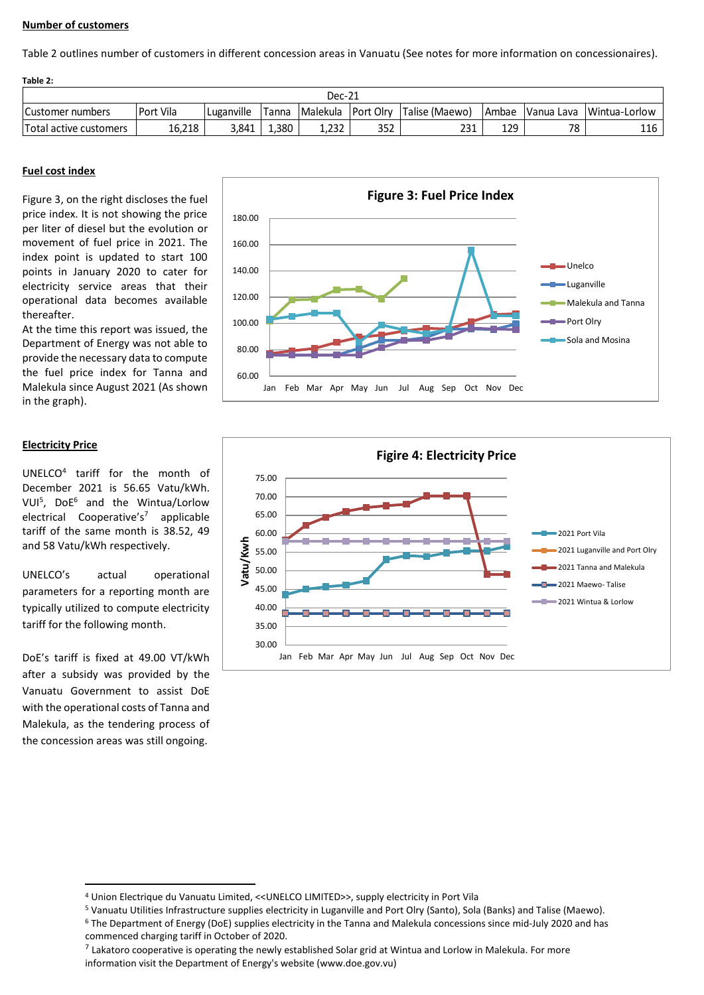# **Number of customers**

Table 2 outlines number of customers in different concession areas in Vanuatu (See notes for more information on concessionaires).

| Table 2:               |           |            |              |                    |     |                |              |    |                          |
|------------------------|-----------|------------|--------------|--------------------|-----|----------------|--------------|----|--------------------------|
|                        | Dec-21    |            |              |                    |     |                |              |    |                          |
| Customer numbers       | Port Vila | Luganville | Tanna        | Malekula Port Olrv |     | Talise (Maewo) | <b>Ambae</b> |    | Vanua Lava Wintua-Lorlow |
| Total active customers | 16,218    | 3.841      | <b>1.380</b> | 1.232              | 352 | 231            | 129          | 78 | 116                      |

# **Fuel cost index**

Figure 3, on the right discloses the fuel price index. It is not showing the price per liter of diesel but the evolution or movement of fuel price in 2021. The index point is updated to start 100 points in January 2020 to cater for electricity service areas that their operational data becomes available thereafter.

At the time this report was issued, the Department of Energy was not able to provide the necessary data to compute the fuel price index for Tanna and Malekula since August 2021 (As shown in the graph).

# **Electricity Price**

UNELCO<sup>4</sup> tariff for the month of December 2021 is 56.65 Vatu/kWh. VUI<sup>5</sup> , DoE<sup>6</sup> and the Wintua/Lorlow electrical Cooperative's<sup>7</sup> applicable tariff of the same month is 38.52, 49 and 58 Vatu/kWh respectively.

UNELCO's actual operational parameters for a reporting month are typically utilized to compute electricity tariff for the following month.

DoE's tariff is fixed at 49.00 VT/kWh after a subsidy was provided by the Vanuatu Government to assist DoE with the operational costs of Tanna and Malekula, as the tendering process of the concession areas was still ongoing.





<sup>4</sup> Union Electrique du Vanuatu Limited, <<UNELCO LIMITED>>, supply electricity in Port Vila

<sup>5</sup> Vanuatu Utilities Infrastructure supplies electricity in Luganville and Port Olry (Santo), Sola (Banks) and Talise (Maewo).

<sup>6</sup> The Department of Energy (DoE) supplies electricity in the Tanna and Malekula concessions since mid-July 2020 and has commenced charging tariff in October of 2020.

 $^7$  Lakatoro cooperative is operating the newly established Solar grid at Wintua and Lorlow in Malekula. For more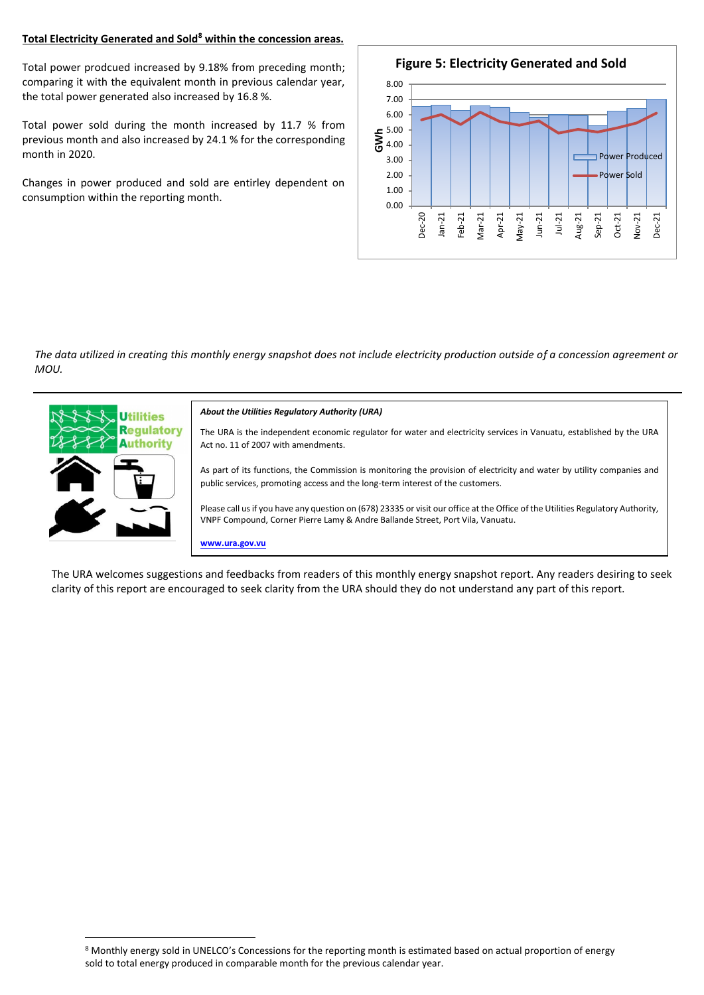# **Total Electricity Generated and Sold<sup>8</sup> within the concession areas.**

Total power prodcued increased by 9.18% from preceding month; comparing it with the equivalent month in previous calendar year, the total power generated also increased by 16.8 %.

Total power sold during the month increased by 11.7 % from previous month and also increased by 24.1 % for the corresponding month in 2020.

Changes in power produced and sold are entirley dependent on consumption within the reporting month.



*The data utilized in creating this monthly energy snapshot does not include electricity production outside of a concession agreement or MOU.*



The URA welcomes suggestions and feedbacks from readers of this monthly energy snapshot report. Any readers desiring to seek clarity of this report are encouraged to seek clarity from the URA should they do not understand any part of this report.

<sup>8</sup> Monthly energy sold in UNELCO's Concessions for the reporting month is estimated based on actual proportion of energy sold to total energy produced in comparable month for the previous calendar year.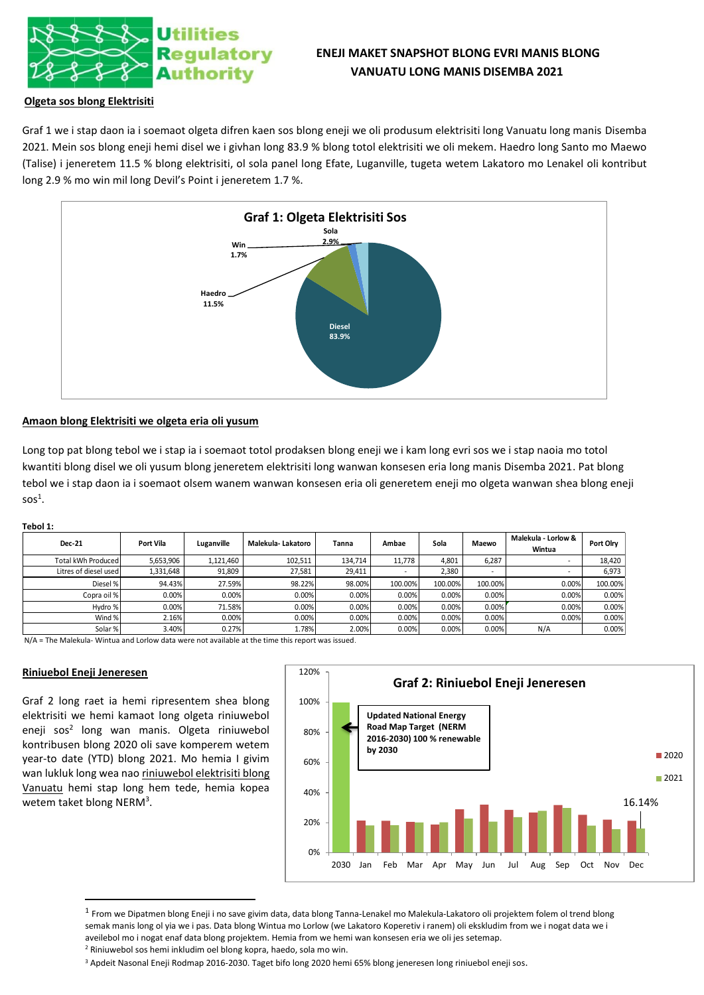

# **ENEJI MAKET SNAPSHOT BLONG EVRI MANIS BLONG VANUATU LONG MANIS DISEMBA 2021**

# **Olgeta sos blong Elektrisiti**

Graf 1 we i stap daon ia i soemaot olgeta difren kaen sos blong eneji we oli produsum elektrisiti long Vanuatu long manis Disemba 2021. Mein sos blong eneji hemi disel we i givhan long 83.9 % blong totol elektrisiti we oli mekem. Haedro long Santo mo Maewo (Talise) i jeneretem 11.5 % blong elektrisiti, ol sola panel long Efate, Luganville, tugeta wetem Lakatoro mo Lenakel oli kontribut long 2.9 % mo win mil long Devil's Point i jeneretem 1.7 %.



### **Amaon blong Elektrisiti we olgeta eria oli yusum**

Long top pat blong tebol we i stap ia i soemaot totol prodaksen blong eneji we i kam long evri sos we i stap naoia mo totol kwantiti blong disel we oli yusum blong jeneretem elektrisiti long wanwan konsesen eria long manis Disemba 2021. Pat blong tebol we i stap daon ia i soemaot olsem wanem wanwan konsesen eria oli generetem eneji mo olgeta wanwan shea blong eneji  $s$ os<sup>1</sup>.

#### **Tebol 1:**

| <b>Dec-21</b>         | Port Vila | Luganville | Malekula-Lakatoro | Tanna   | Ambae   | Sola    | Maewo   | Malekula - Lorlow &<br>Wintua | Port Olry |
|-----------------------|-----------|------------|-------------------|---------|---------|---------|---------|-------------------------------|-----------|
| Total kWh Produced    | 5,653,906 | 1,121,460  | 102,511           | 134,714 | 11.778  | 4,801   | 6,287   |                               | 18,420    |
| Litres of diesel used | 1,331,648 | 91,809     | 27,581            | 29,411  |         | 2,380   |         | ۰                             | 6,973     |
| Diesel %              | 94.43%    | 27.59%     | 98.22%            | 98.00%  | 100.00% | 100.00% | 100.00% | 0.00%                         | 100.00%   |
| Copra oil %           | 0.00%     | 0.00%      | 0.00%             | 0.00%   | 0.00%   | 0.00%   | 0.00%   | 0.00%                         | 0.00%     |
| Hydro %               | 0.00%     | 71.58%     | 0.00%             | 0.00%   | 0.00%   | 0.00%   | 0.00%   | 0.00%                         | 0.00%     |
| Wind %                | 2.16%     | 0.00%      | 0.00%             | 0.00%   | 0.00%   | 0.00%   | 0.00%   | 0.00%                         | 0.00%     |
| Solar %               | 3.40%     | 0.27%      | 1.78%             | 2.00%   | 0.00%   | 0.00%   | 0.00%   | N/A                           | 0.00%     |

N/A = The Malekula- Wintua and Lorlow data were not available at the time this report was issued.

#### **Riniuebol Eneji Jeneresen**

Graf 2 long raet ia hemi ripresentem shea blong elektrisiti we hemi kamaot long olgeta riniuwebol eneji sos<sup>2</sup> long wan manis. Olgeta riniuwebol kontribusen blong 2020 oli save komperem wetem year-to date (YTD) blong 2021. Mo hemia I givim wan lukluk long wea nao riniuwebol elektrisiti blong Vanuatu hemi stap long hem tede, hemia kopea wetem taket blong NERM<sup>3</sup>.



<sup>&</sup>lt;sup>1</sup> From we Dipatmen blong Eneji i no save givim data, data blong Tanna-Lenakel mo Malekula-Lakatoro oli projektem folem ol trend blong semak manis long ol yia we i pas. Data blong Wintua mo Lorlow (we Lakatoro Koperetiv i ranem) oli ekskludim from we i nogat data we i aveilebol mo i nogat enaf data blong projektem. Hemia from we hemi wan konsesen eria we oli jes setemap. <sup>2</sup> Riniuwebol sos hemi inkludim oel blong kopra, haedo, sola mo win.

<sup>3</sup> Apdeit Nasonal Eneji Rodmap 2016-2030. Taget bifo long 2020 hemi 65% blong jeneresen long riniuebol eneji sos.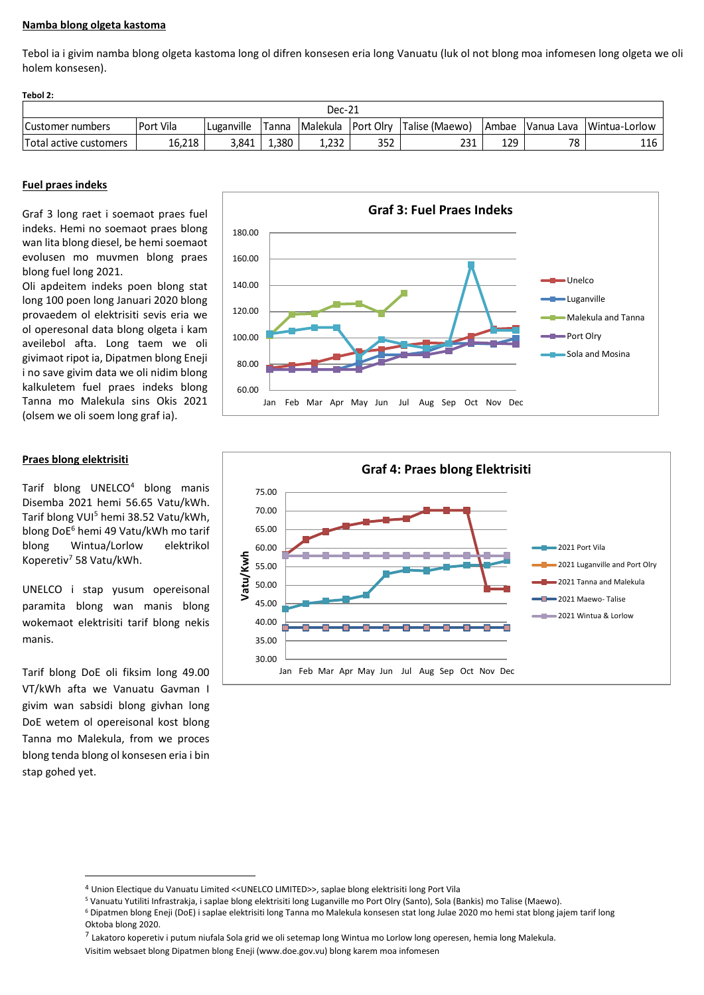## **Namba blong olgeta kastoma**

Tebol ia i givim namba blong olgeta kastoma long ol difren konsesen eria long Vanuatu (luk ol not blong moa infomesen long olgeta we oli holem konsesen).

| Tebol 2:               |                  |            |       |        |     |                                       |     |    |                                |
|------------------------|------------------|------------|-------|--------|-----|---------------------------------------|-----|----|--------------------------------|
|                        |                  |            |       | Dec-21 |     |                                       |     |    |                                |
| Customer numbers       | <b>Port Vila</b> | Luganville | Tanna |        |     | Malekula   Port Olry   Talise (Maewo) |     |    | Ambae Vanua Lava Wintua-Lorlow |
| Total active customers | 16,218           | 3.841      | 1.380 | 1.232  | 352 | 231                                   | 129 | 78 | 116                            |

### **Fuel praes indeks**

Graf 3 long raet i soemaot praes fuel indeks. Hemi no soemaot praes blong wan lita blong diesel, be hemi soemaot evolusen mo muvmen blong praes blong fuel long 2021.

Oli apdeitem indeks poen blong stat long 100 poen long Januari 2020 blong provaedem ol elektrisiti sevis eria we ol operesonal data blong olgeta i kam aveilebol afta. Long taem we oli givimaot ripot ia, Dipatmen blong Eneji i no save givim data we oli nidim blong kalkuletem fuel praes indeks blong Tanna mo Malekula sins Okis 2021 (olsem we oli soem long graf ia).

#### **Praes blong elektrisiti**

Tarif blong UNELCO<sup>4</sup> blong manis Disemba 2021 hemi 56.65 Vatu/kWh. Tarif blong VUI<sup>5</sup> hemi 38.52 Vatu/kWh, blong DoE<sup>6</sup> hemi 49 Vatu/kWh mo tarif blong Wintua/Lorlow elektrikol Koperetiv<sup>7</sup> 58 Vatu/kWh.

UNELCO i stap yusum opereisonal paramita blong wan manis blong wokemaot elektrisiti tarif blong nekis manis.

Tarif blong DoE oli fiksim long 49.00 VT/kWh afta we Vanuatu Gavman I givim wan sabsidi blong givhan long DoE wetem ol opereisonal kost blong Tanna mo Malekula, from we proces blong tenda blong ol konsesen eria i bin stap gohed yet.





<sup>4</sup> Union Electique du Vanuatu Limited <<UNELCO LIMITED>>, saplae blong elektrisiti long Port Vila

<sup>7</sup> Lakatoro koperetiv i putum niufala Sola grid we oli setemap long Wintua mo Lorlow long operesen, hemia long Malekula.

<sup>5</sup> Vanuatu Yutiliti Infrastrakja, i saplae blong elektrisiti long Luganville mo Port Olry (Santo), Sola (Bankis) mo Talise (Maewo).

<sup>6</sup> Dipatmen blong Eneji (DoE) i saplae elektrisiti long Tanna mo Malekula konsesen stat long Julae 2020 mo hemi stat blong jajem tarif long Oktoba blong 2020.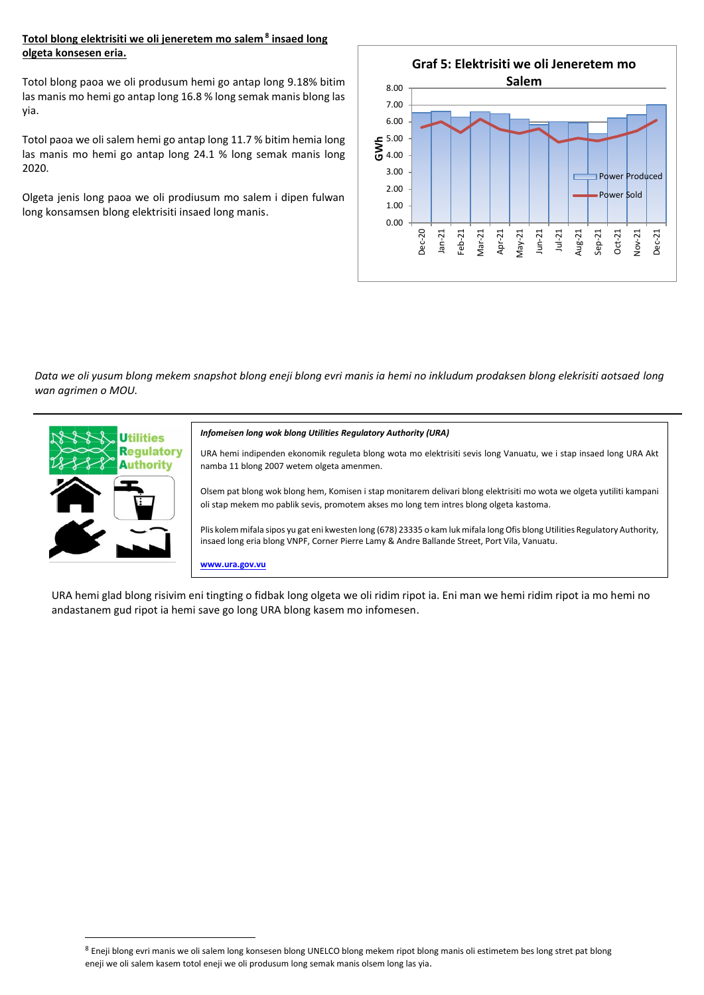# **Totol blong elektrisiti we oli jeneretem mo salem <sup>8</sup> insaed long olgeta konsesen eria.**

Totol blong paoa we oli produsum hemi go antap long 9.18% bitim las manis mo hemi go antap long 16.8 % long semak manis blong las yia.

Totol paoa we oli salem hemi go antap long 11.7 % bitim hemia long las manis mo hemi go antap long 24.1 % long semak manis long 2020.

Olgeta jenis long paoa we oli prodiusum mo salem i dipen fulwan long konsamsen blong elektrisiti insaed long manis.



*Data we oli yusum blong mekem snapshot blong eneji blong evri manis ia hemi no inkludum prodaksen blong elekrisiti aotsaed long wan agrimen o MOU.*



#### *Infomeisen long wok blong Utilities Regulatory Authority (URA)*

URA hemi indipenden ekonomik reguleta blong wota mo elektrisiti sevis long Vanuatu, we i stap insaed long URA Akt namba 11 blong 2007 wetem olgeta amenmen.

Olsem pat blong wok blong hem, Komisen i stap monitarem delivari blong elektrisiti mo wota we olgeta yutiliti kampani oli stap mekem mo pablik sevis, promotem akses mo long tem intres blong olgeta kastoma.

Plis kolem mifala sipos yu gat eni kwesten long (678) 23335 o kam luk mifala long Ofis blong Utilities Regulatory Authority, insaed long eria blong VNPF, Corner Pierre Lamy & Andre Ballande Street, Port Vila, Vanuatu.

**www.ura.gov.vu**

URA hemi glad blong risivim eni tingting o fidbak long olgeta we oli ridim ripot ia. Eni man we hemi ridim ripot ia mo hemi no andastanem gud ripot ia hemi save go long URA blong kasem mo infomesen.

<sup>8</sup> Eneji blong evri manis we oli salem long konsesen blong UNELCO blong mekem ripot blong manis oli estimetem bes long stret pat blong eneji we oli salem kasem totol eneji we oli produsum long semak manis olsem long las yia.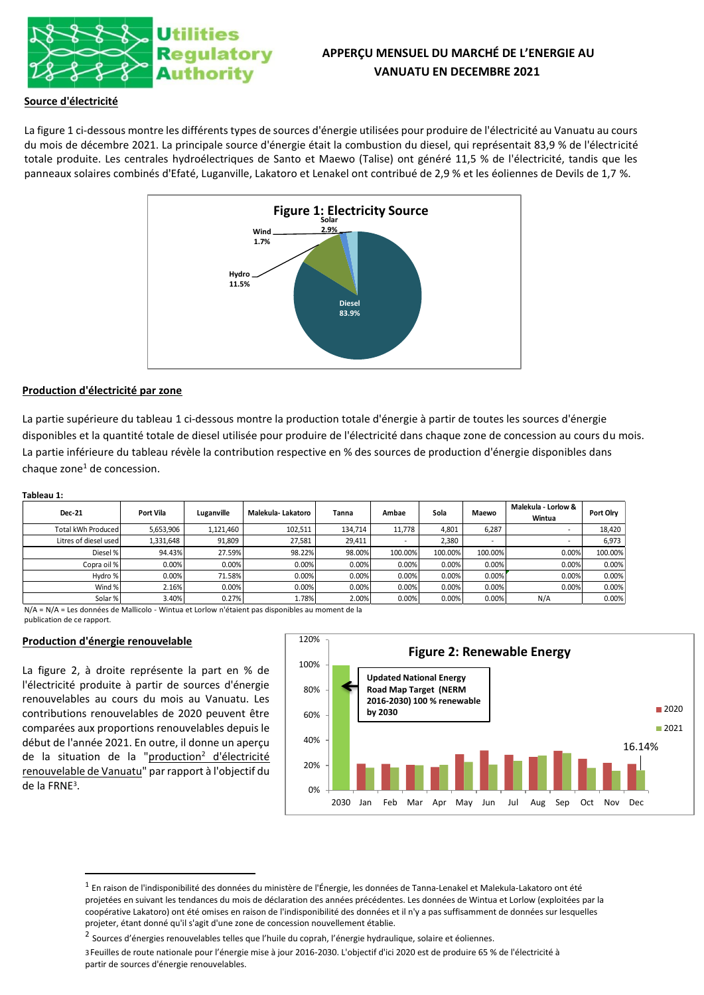

# **APPERÇU MENSUEL DU MARCHÉ DE L'ENERGIE AU VANUATU EN DECEMBRE 2021**

### **Source d'électricité**

La figure 1 ci-dessous montre les différents types de sources d'énergie utilisées pour produire de l'électricité au Vanuatu au cours du mois de décembre 2021. La principale source d'énergie était la combustion du diesel, qui représentait 83,9 % de l'électricité totale produite. Les centrales hydroélectriques de Santo et Maewo (Talise) ont généré 11,5 % de l'électricité, tandis que les panneaux solaires combinés d'Efaté, Luganville, Lakatoro et Lenakel ont contribué de 2,9 % et les éoliennes de Devils de 1,7 %.



#### **Production d'électricité par zone**

La partie supérieure du tableau 1 ci-dessous montre la production totale d'énergie à partir de toutes les sources d'énergie disponibles et la quantité totale de diesel utilisée pour produire de l'électricité dans chaque zone de concession au cours du mois. La partie inférieure du tableau révèle la contribution respective en % des sources de production d'énergie disponibles dans chaque zone $<sup>1</sup>$  de concession.</sup>

#### **Tableau 1:**

| <b>Dec-21</b>         | Port Vila | Luganville | Malekula-Lakatoro | Tanna   | Ambae   | Sola    | Maewo   | Malekula - Lorlow &<br>Wintua | Port Olry |
|-----------------------|-----------|------------|-------------------|---------|---------|---------|---------|-------------------------------|-----------|
| Total kWh Produced    | 5,653,906 | 1,121,460  | 102,511           | 134,714 | 11.778  | 4,801   | 6.287   |                               | 18,420    |
| Litres of diesel used | 1,331,648 | 91.809     | 27.581            | 29.411  |         | 2.380   |         |                               | 6,973     |
| Diesel %              | 94.43%    | 27.59%     | 98.22%            | 98.00%  | 100.00% | 100.00% | 100.00% | 0.00%                         | 100.00%   |
| Copra oil %           | 0.00%     | 0.00%      | 0.00%             | 0.00%   | 0.00%   | 0.00%   | 0.00%   | 0.00%                         | 0.00%     |
| Hydro %               | 0.00%     | 71.58%     | 0.00%             | 0.00%   | 0.00%   | 0.00%   | 0.00%   | 0.00%                         | 0.00%     |
| Wind %                | 2.16%     | 0.00%      | 0.00%             | 0.00%   | 0.00%   | 0.00%   | 0.00%   | 0.00%                         | 0.00%     |
| Solar %               | 3.40%     | 0.27%      | 1.78%             | 2.00%   | 0.00%   | 0.00%   | 0.00%   | N/A                           | 0.00%     |

N/A = N/A = Les données de Mallicolo - Wintua et Lorlow n'étaient pas disponibles au moment de la publication de ce rapport.

### **Production d'énergie renouvelable**

La figure 2, à droite représente la part en % de l'électricité produite à partir de sources d'énergie renouvelables au cours du mois au Vanuatu. Les contributions renouvelables de 2020 peuvent être comparées aux proportions renouvelables depuis le début de l'année 2021. En outre, il donne un aperçu de la situation de la "production<sup>2</sup> d'électricité renouvelable de Vanuatu" par rapport à l'objectif du de la FRNE<sup>3</sup> .



 $^{\rm 1}$  En raison de l'indisponibilité des données du ministère de l'Énergie, les données de Tanna-Lenakel et Malekula-Lakatoro ont été projetées en suivant les tendances du mois de déclaration des années précédentes. Les données de Wintua et Lorlow (exploitées par la coopérative Lakatoro) ont été omises en raison de l'indisponibilité des données et il n'y a pas suffisamment de données sur lesquelles projeter, étant donné qu'il s'agit d'une zone de concession nouvellement établie.

<sup>&</sup>lt;sup>2</sup> Sources d'énergies renouvelables telles que l'huile du coprah, l'énergie hydraulique, solaire et éoliennes.

<sup>3</sup>Feuilles de route nationale pour l'énergie mise à jour 2016-2030. L'objectif d'ici 2020 est de produire 65 % de l'électricité à partir de sources d'énergie renouvelables.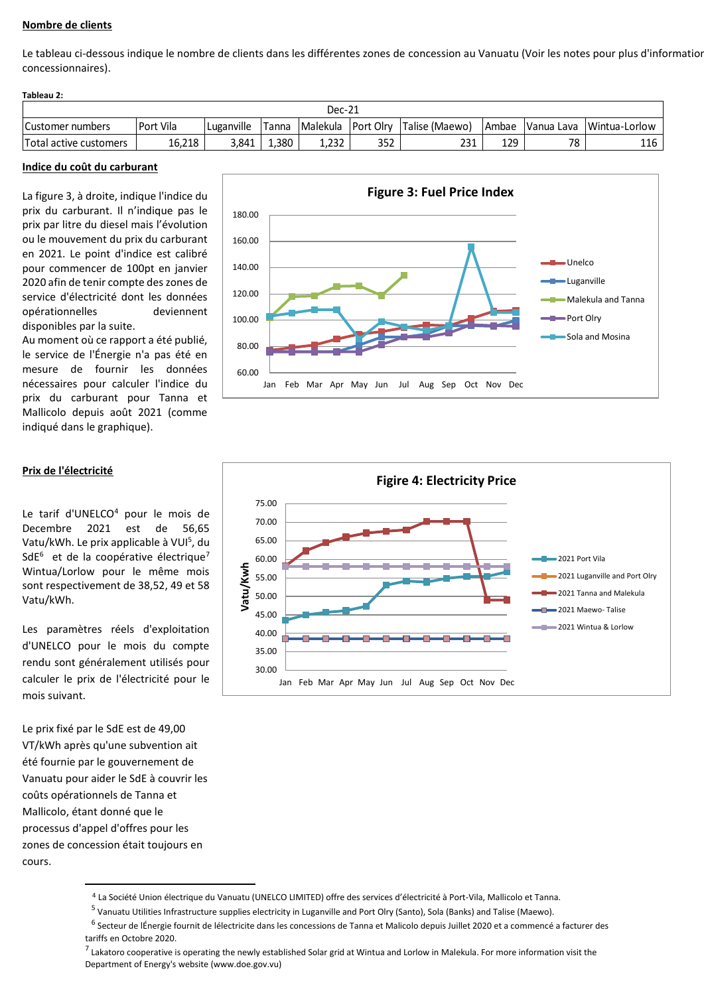# **Nombre de clients**

Le tableau ci-dessous indique le nombre de clients dans les différentes zones de concession au Vanuatu (Voir les notes pour plus d'information concessionnaires).

| Tableau 2: |
|------------|
|------------|

| Dec-21                 |           |            |       |                 |                  |                |              |            |               |
|------------------------|-----------|------------|-------|-----------------|------------------|----------------|--------------|------------|---------------|
| Customer numbers       | Port Vila | Luganville | Tanna | <b>Malekula</b> | <b>Port Olrv</b> | Talise (Maewo) | <b>Ambae</b> | Vanua Lava | Wintua-Lorlow |
| Total active customers | 16.218    | 3.841      | 1.380 | 1.232           | 352              | 231            | 129          | 78         | 116           |

#### **Indice du coût du carburant**

La figure 3, à droite, indique l'indice du prix du carburant. Il n'indique pas le prix par litre du diesel mais l'évolution ou le mouvement du prix du carburant en 2021. Le point d'indice est calibré pour commencer de 100pt en janvier 2020 afin de tenir compte des zones de service d'électricité dont les données opérationnelles deviennent disponibles par la suite.

Au moment où ce rapport a été publié, le service de l'Énergie n'a pas été en mesure de fournir les données nécessaires pour calculer l'indice du prix du carburant pour Tanna et Mallicolo depuis août 2021 (comme indiqué dans le graphique).



# **Prix de l'électricité**

Le tarif d'UNELCO<sup>4</sup> pour le mois de Decembre 2021 est de 56,65 Vatu/kWh. Le prix applicable à VUI<sup>5</sup>, du SdE<sup>6</sup> et de la coopérative électrique<sup>7</sup> Wintua/Lorlow pour le même mois sont respectivement de 38,52, 49 et 58 Vatu/kWh.

Les paramètres réels d'exploitation d'UNELCO pour le mois du compte rendu sont généralement utilisés pour calculer le prix de l'électricité pour le mois suivant.

Le prix fixé par le SdE est de 49,00 VT/kWh après qu'une subvention ait été fournie par le gouvernement de Vanuatu pour aider le SdE à couvrir les coûts opérationnels de Tanna et Mallicolo, étant donné que le processus d'appel d'offres pour les zones de concession était toujours en cours.



<sup>4</sup> La Société Union électrique du Vanuatu (UNELCO LIMITED) offre des services d'électricité à Port-Vila, Mallicolo et Tanna.

<sup>&</sup>lt;sup>5</sup> Vanuatu Utilities Infrastructure supplies electricity in Luganville and Port Olry (Santo), Sola (Banks) and Talise (Maewo).

<sup>&</sup>lt;sup>6</sup> Secteur de lÉnergie fournit de lélectricite dans les concessions de Tanna et Malicolo depuis Juillet 2020 et a commencé a facturer des tariffs en Octobre 2020.

<sup>&</sup>lt;sup>7</sup> Lakatoro cooperative is operating the newly established Solar grid at Wintua and Lorlow in Malekula. For more information visit the Department of Energy's website (www.doe.gov.vu)